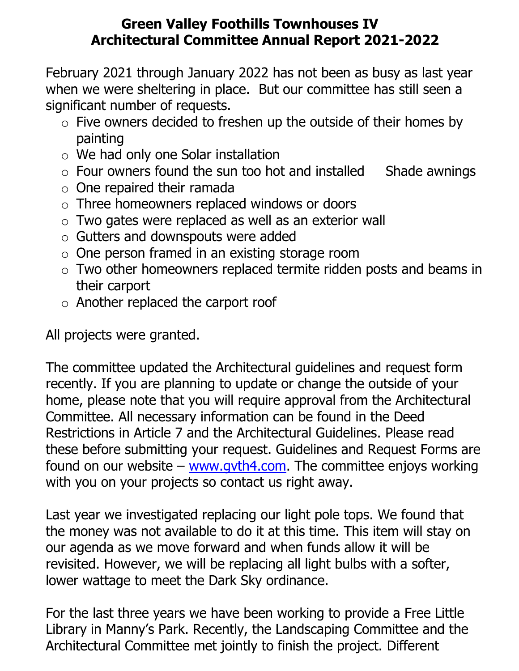## **Green Valley Foothills Townhouses IV Architectural Committee Annual Report 2021-2022**

February 2021 through January 2022 has not been as busy as last year when we were sheltering in place. But our committee has still seen a significant number of requests.

- $\circ$  Five owners decided to freshen up the outside of their homes by painting
- o We had only one Solar installation
- $\circ$  Four owners found the sun too hot and installed Shade awnings
- $\circ$  One repaired their ramada
- o Three homeowners replaced windows or doors
- o Two gates were replaced as well as an exterior wall
- o Gutters and downspouts were added
- o One person framed in an existing storage room
- o Two other homeowners replaced termite ridden posts and beams in their carport
- o Another replaced the carport roof

All projects were granted.

The committee updated the Architectural guidelines and request form recently. If you are planning to update or change the outside of your home, please note that you will require approval from the Architectural Committee. All necessary information can be found in the Deed Restrictions in Article 7 and the Architectural Guidelines. Please read these before submitting your request. Guidelines and Request Forms are found on our website – www.gyth4.com. The committee enjoys working with you on your projects so contact us right away.

Last year we investigated replacing our light pole tops. We found that the money was not available to do it at this time. This item will stay on our agenda as we move forward and when funds allow it will be revisited. However, we will be replacing all light bulbs with a softer, lower wattage to meet the Dark Sky ordinance.

For the last three years we have been working to provide a Free Little Library in Manny's Park. Recently, the Landscaping Committee and the Architectural Committee met jointly to finish the project. Different